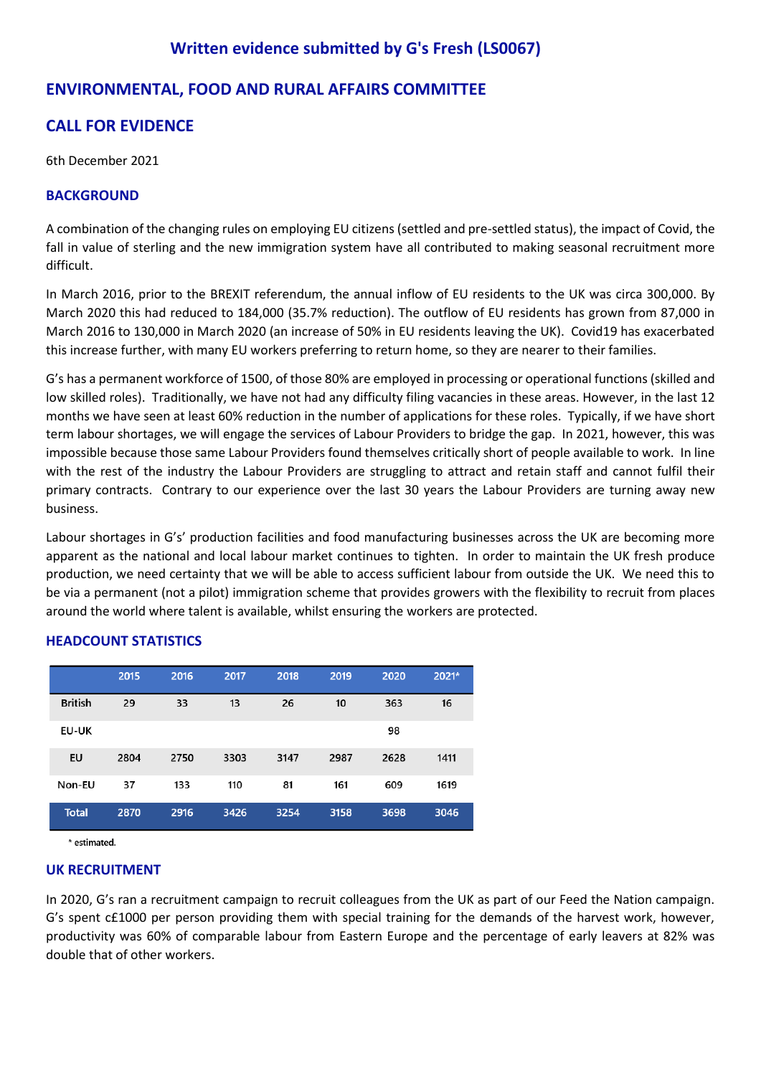## **Written evidence submitted by G's Fresh (LS0067)**

## **ENVIRONMENTAL, FOOD AND RURAL AFFAIRS COMMITTEE**

# **CALL FOR EVIDENCE**

6th December 2021

## **BACKGROUND**

A combination of the changing rules on employing EU citizens (settled and pre-settled status), the impact of Covid, the fall in value of sterling and the new immigration system have all contributed to making seasonal recruitment more difficult.

In March 2016, prior to the BREXIT referendum, the annual inflow of EU residents to the UK was circa 300,000. By March 2020 this had reduced to 184,000 (35.7% reduction). The outflow of EU residents has grown from 87,000 in March 2016 to 130,000 in March 2020 (an increase of 50% in EU residents leaving the UK). Covid19 has exacerbated this increase further, with many EU workers preferring to return home, so they are nearer to their families.

G's has a permanent workforce of 1500, of those 80% are employed in processing or operational functions (skilled and low skilled roles). Traditionally, we have not had any difficulty filing vacancies in these areas. However, in the last 12 months we have seen at least 60% reduction in the number of applications for these roles. Typically, if we have short term labour shortages, we will engage the services of Labour Providers to bridge the gap. In 2021, however, this was impossible because those same Labour Providers found themselves critically short of people available to work. In line with the rest of the industry the Labour Providers are struggling to attract and retain staff and cannot fulfil their primary contracts. Contrary to our experience over the last 30 years the Labour Providers are turning away new business.

Labour shortages in G's' production facilities and food manufacturing businesses across the UK are becoming more apparent as the national and local labour market continues to tighten. In order to maintain the UK fresh produce production, we need certainty that we will be able to access sufficient labour from outside the UK. We need this to be via a permanent (not a pilot) immigration scheme that provides growers with the flexibility to recruit from places around the world where talent is available, whilst ensuring the workers are protected.

|                | 2015 | 2016 | 2017 | 2018 | 2019 | 2020 | 2021* |
|----------------|------|------|------|------|------|------|-------|
| <b>British</b> | 29   | 33   | 13   | 26   | 10   | 363  | 16    |
| <b>EU-UK</b>   |      |      |      |      |      | 98   |       |
| EU             | 2804 | 2750 | 3303 | 3147 | 2987 | 2628 | 1411  |
| Non-EU         | 37   | 133  | 110  | 81   | 161  | 609  | 1619  |
| <b>Total</b>   | 2870 | 2916 | 3426 | 3254 | 3158 | 3698 | 3046  |

## **HEADCOUNT STATISTICS**

\* estimated.

## **UK RECRUITMENT**

In 2020, G's ran a recruitment campaign to recruit colleagues from the UK as part of our Feed the Nation campaign. G's spent c£1000 per person providing them with special training for the demands of the harvest work, however, productivity was 60% of comparable labour from Eastern Europe and the percentage of early leavers at 82% was double that of other workers.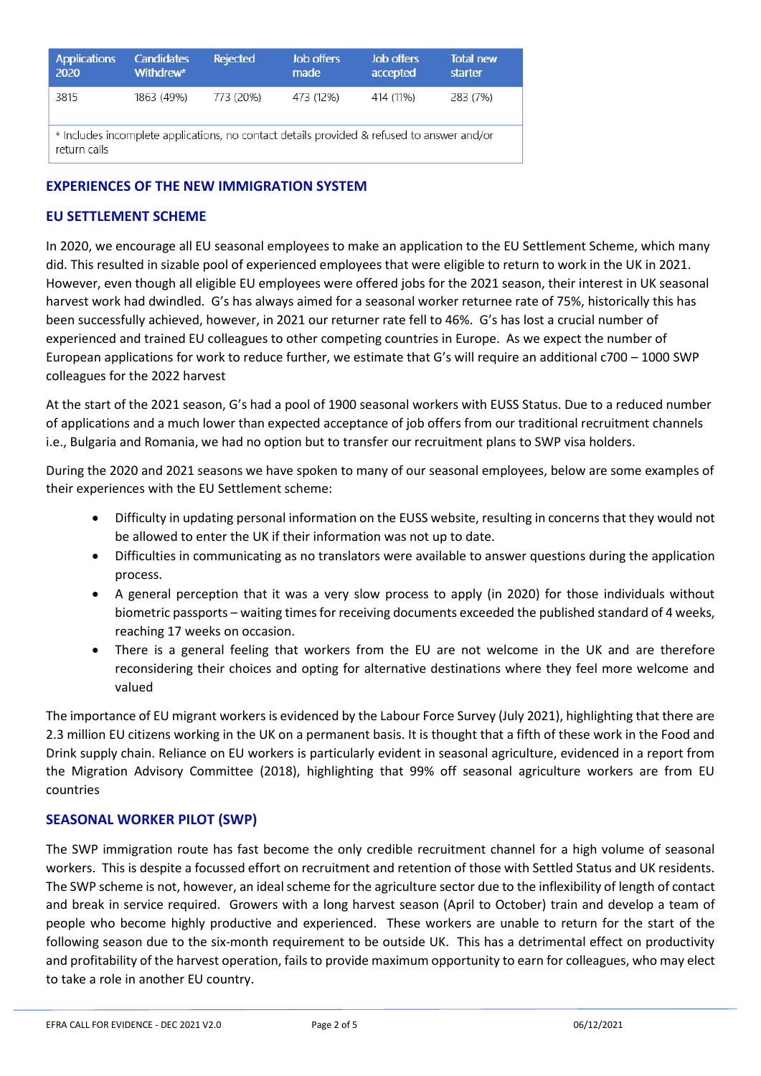| <b>Applications</b><br>2020                                                                                | <b>Candidates</b><br>Withdrew* | <b>Rejected</b> | <b>Job offers</b><br>made | Job offers<br>accepted | <b>Total new</b><br>starter |  |  |
|------------------------------------------------------------------------------------------------------------|--------------------------------|-----------------|---------------------------|------------------------|-----------------------------|--|--|
| 3815                                                                                                       | 1863 (49%)                     | 773 (20%)       | 473 (12%)                 | 414 (11%)              | 283 (7%)                    |  |  |
| * Includes incomplete applications, no contact details provided & refused to answer and/or<br>return calls |                                |                 |                           |                        |                             |  |  |

## **EXPERIENCES OF THE NEW IMMIGRATION SYSTEM**

## **EU SETTLEMENT SCHEME**

In 2020, we encourage all EU seasonal employees to make an application to the EU Settlement Scheme, which many did. This resulted in sizable pool of experienced employees that were eligible to return to work in the UK in 2021. However, even though all eligible EU employees were offered jobs for the 2021 season, their interest in UK seasonal harvest work had dwindled. G's has always aimed for a seasonal worker returnee rate of 75%, historically this has been successfully achieved, however, in 2021 our returner rate fell to 46%. G's has lost a crucial number of experienced and trained EU colleagues to other competing countries in Europe. As we expect the number of European applications for work to reduce further, we estimate that G's will require an additional c700 – 1000 SWP colleagues for the 2022 harvest

At the start of the 2021 season, G's had a pool of 1900 seasonal workers with EUSS Status. Due to a reduced number of applications and a much lower than expected acceptance of job offers from our traditional recruitment channels i.e., Bulgaria and Romania, we had no option but to transfer our recruitment plans to SWP visa holders.

During the 2020 and 2021 seasons we have spoken to many of our seasonal employees, below are some examples of their experiences with the EU Settlement scheme:

- Difficulty in updating personal information on the EUSS website, resulting in concerns that they would not be allowed to enter the UK if their information was not up to date.
- Difficulties in communicating as no translators were available to answer questions during the application process.
- A general perception that it was a very slow process to apply (in 2020) for those individuals without biometric passports – waiting times for receiving documents exceeded the published standard of 4 weeks, reaching 17 weeks on occasion.
- There is a general feeling that workers from the EU are not welcome in the UK and are therefore reconsidering their choices and opting for alternative destinations where they feel more welcome and valued

The importance of EU migrant workers is evidenced by the Labour Force Survey (July 2021), highlighting that there are 2.3 million EU citizens working in the UK on a permanent basis. It is thought that a fifth of these work in the Food and Drink supply chain. Reliance on EU workers is particularly evident in seasonal agriculture, evidenced in a report from the Migration Advisory Committee (2018), highlighting that 99% off seasonal agriculture workers are from EU countries

## **SEASONAL WORKER PILOT (SWP)**

The SWP immigration route has fast become the only credible recruitment channel for a high volume of seasonal workers. This is despite a focussed effort on recruitment and retention of those with Settled Status and UK residents. The SWP scheme is not, however, an ideal scheme for the agriculture sector due to the inflexibility of length of contact and break in service required. Growers with a long harvest season (April to October) train and develop a team of people who become highly productive and experienced. These workers are unable to return for the start of the following season due to the six-month requirement to be outside UK. This has a detrimental effect on productivity and profitability of the harvest operation, fails to provide maximum opportunity to earn for colleagues, who may elect to take a role in another EU country.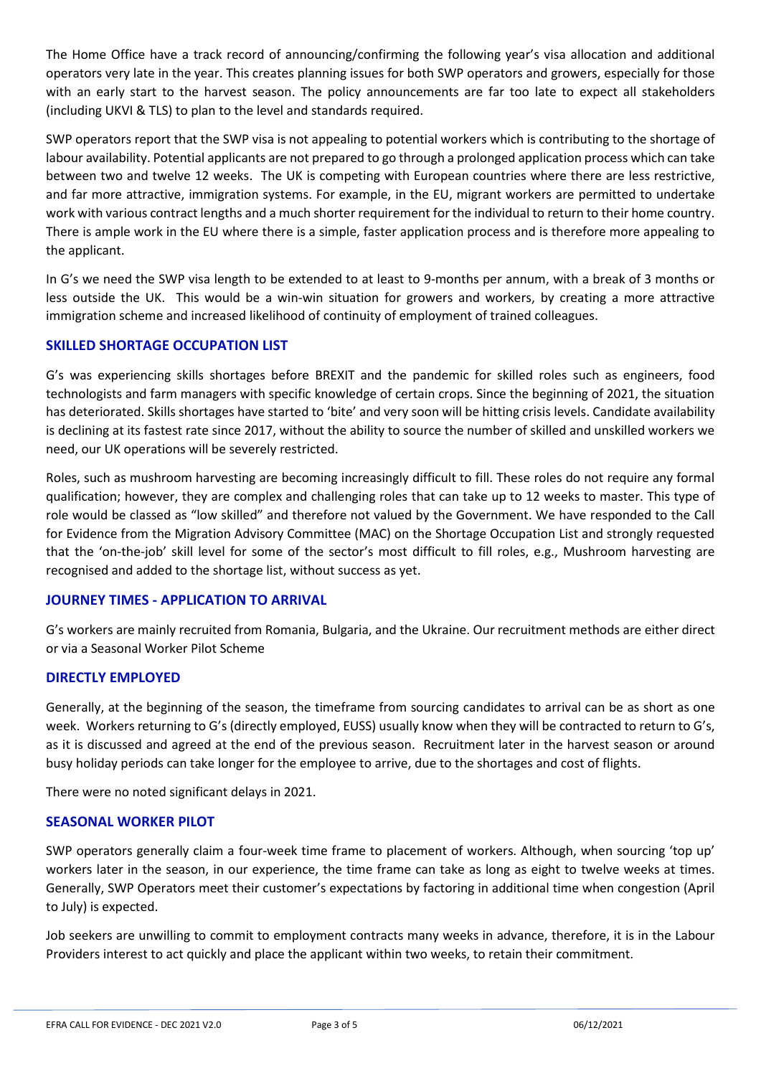The Home Office have a track record of announcing/confirming the following year's visa allocation and additional operators very late in the year. This creates planning issues for both SWP operators and growers, especially for those with an early start to the harvest season. The policy announcements are far too late to expect all stakeholders (including UKVI & TLS) to plan to the level and standards required.

SWP operators report that the SWP visa is not appealing to potential workers which is contributing to the shortage of labour availability. Potential applicants are not prepared to go through a prolonged application process which can take between two and twelve 12 weeks. The UK is competing with European countries where there are less restrictive, and far more attractive, immigration systems. For example, in the EU, migrant workers are permitted to undertake work with various contract lengths and a much shorter requirement for the individual to return to their home country. There is ample work in the EU where there is a simple, faster application process and is therefore more appealing to the applicant.

In G's we need the SWP visa length to be extended to at least to 9-months per annum, with a break of 3 months or less outside the UK. This would be a win-win situation for growers and workers, by creating a more attractive immigration scheme and increased likelihood of continuity of employment of trained colleagues.

## **SKILLED SHORTAGE OCCUPATION LIST**

G's was experiencing skills shortages before BREXIT and the pandemic for skilled roles such as engineers, food technologists and farm managers with specific knowledge of certain crops. Since the beginning of 2021, the situation has deteriorated. Skills shortages have started to 'bite' and very soon will be hitting crisis levels. Candidate availability is declining at its fastest rate since 2017, without the ability to source the number of skilled and unskilled workers we need, our UK operations will be severely restricted.

Roles, such as mushroom harvesting are becoming increasingly difficult to fill. These roles do not require any formal qualification; however, they are complex and challenging roles that can take up to 12 weeks to master. This type of role would be classed as "low skilled" and therefore not valued by the Government. We have responded to the Call for Evidence from the Migration Advisory Committee (MAC) on the Shortage Occupation List and strongly requested that the 'on-the-job' skill level for some of the sector's most difficult to fill roles, e.g., Mushroom harvesting are recognised and added to the shortage list, without success as yet.

## **JOURNEY TIMES - APPLICATION TO ARRIVAL**

G's workers are mainly recruited from Romania, Bulgaria, and the Ukraine. Our recruitment methods are either direct or via a Seasonal Worker Pilot Scheme

## **DIRECTLY EMPLOYED**

Generally, at the beginning of the season, the timeframe from sourcing candidates to arrival can be as short as one week. Workers returning to G's (directly employed, EUSS) usually know when they will be contracted to return to G's, as it is discussed and agreed at the end of the previous season. Recruitment later in the harvest season or around busy holiday periods can take longer for the employee to arrive, due to the shortages and cost of flights.

There were no noted significant delays in 2021.

## **SEASONAL WORKER PILOT**

SWP operators generally claim a four-week time frame to placement of workers. Although, when sourcing 'top up' workers later in the season, in our experience, the time frame can take as long as eight to twelve weeks at times. Generally, SWP Operators meet their customer's expectations by factoring in additional time when congestion (April to July) is expected.

Job seekers are unwilling to commit to employment contracts many weeks in advance, therefore, it is in the Labour Providers interest to act quickly and place the applicant within two weeks, to retain their commitment.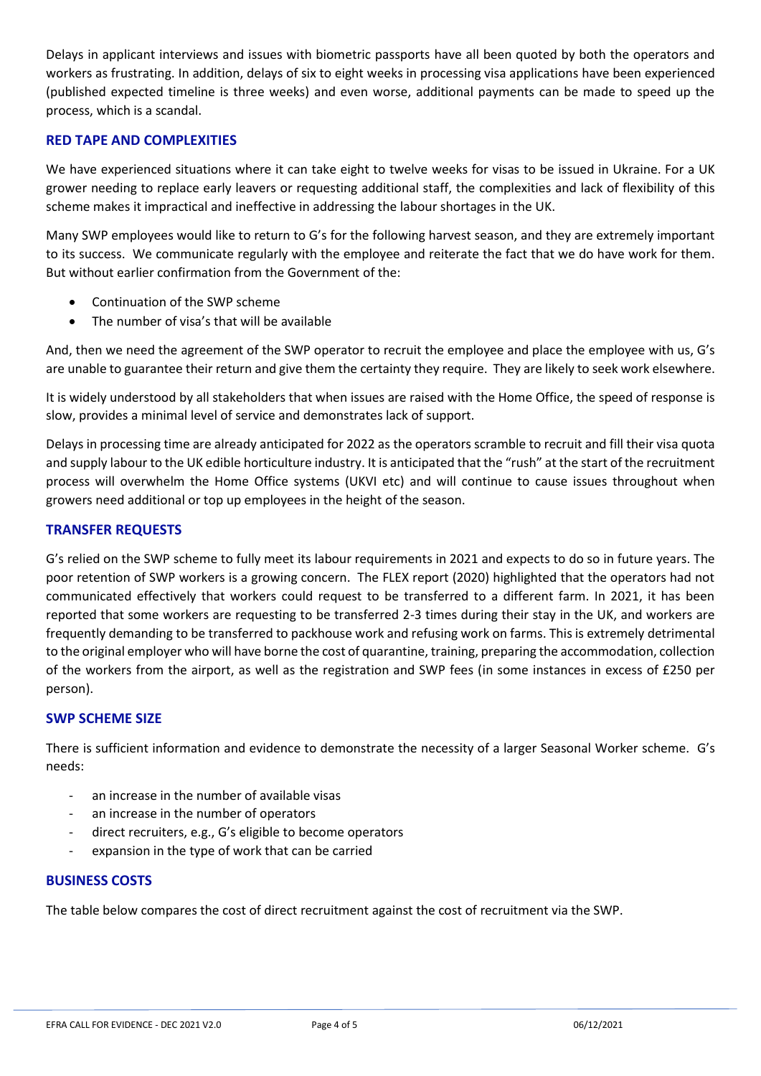Delays in applicant interviews and issues with biometric passports have all been quoted by both the operators and workers as frustrating. In addition, delays of six to eight weeks in processing visa applications have been experienced (published expected timeline is three weeks) and even worse, additional payments can be made to speed up the process, which is a scandal.

### **RED TAPE AND COMPLEXITIES**

We have experienced situations where it can take eight to twelve weeks for visas to be issued in Ukraine. For a UK grower needing to replace early leavers or requesting additional staff, the complexities and lack of flexibility of this scheme makes it impractical and ineffective in addressing the labour shortages in the UK.

Many SWP employees would like to return to G's for the following harvest season, and they are extremely important to its success. We communicate regularly with the employee and reiterate the fact that we do have work for them. But without earlier confirmation from the Government of the:

- Continuation of the SWP scheme
- The number of visa's that will be available

And, then we need the agreement of the SWP operator to recruit the employee and place the employee with us, G's are unable to guarantee their return and give them the certainty they require. They are likely to seek work elsewhere.

It is widely understood by all stakeholders that when issues are raised with the Home Office, the speed of response is slow, provides a minimal level of service and demonstrates lack of support.

Delays in processing time are already anticipated for 2022 as the operators scramble to recruit and fill their visa quota and supply labour to the UK edible horticulture industry. It is anticipated that the "rush" at the start of the recruitment process will overwhelm the Home Office systems (UKVI etc) and will continue to cause issues throughout when growers need additional or top up employees in the height of the season.

### **TRANSFER REQUESTS**

G's relied on the SWP scheme to fully meet its labour requirements in 2021 and expects to do so in future years. The poor retention of SWP workers is a growing concern. The FLEX report (2020) highlighted that the operators had not communicated effectively that workers could request to be transferred to a different farm. In 2021, it has been reported that some workers are requesting to be transferred 2-3 times during their stay in the UK, and workers are frequently demanding to be transferred to packhouse work and refusing work on farms. This is extremely detrimental to the original employer who will have borne the cost of quarantine, training, preparing the accommodation, collection of the workers from the airport, as well as the registration and SWP fees (in some instances in excess of £250 per person).

#### **SWP SCHEME SIZE**

There is sufficient information and evidence to demonstrate the necessity of a larger Seasonal Worker scheme. G's needs:

- an increase in the number of available visas
- an increase in the number of operators
- direct recruiters, e.g., G's eligible to become operators
- expansion in the type of work that can be carried

#### **BUSINESS COSTS**

The table below compares the cost of direct recruitment against the cost of recruitment via the SWP.